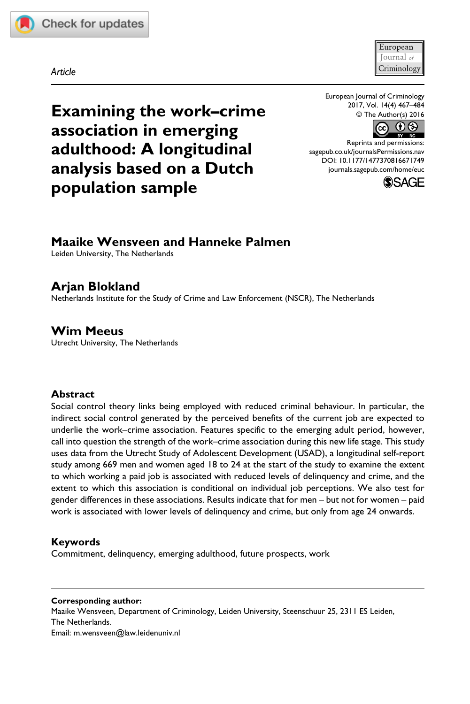



*Article*

European Journal of Criminology 2017, Vol. 14(4) 467–484 © The Author(s) 2016



Reprints and permissions: [sagepub.co.uk/journalsPermissions.nav](https://uk.sagepub.com/en-gb/journals-permissions) DOI: [10.1177/1477370816671749](http://doi.org/10.1177/1477370816671749) [journals.sagepub.com/home/euc](https://journals.sagepub.com/home/euc)



## **Maaike Wensveen and Hanneke Palmen**

**Examining the work–crime** 

**association in emerging adulthood: A longitudinal analysis based on a Dutch** 

Leiden University, The Netherlands

**population sample**

# **Arjan Blokland**

Netherlands Institute for the Study of Crime and Law Enforcement (NSCR), The Netherlands

**Wim Meeus** Utrecht University, The Netherlands

#### **Abstract**

Social control theory links being employed with reduced criminal behaviour. In particular, the indirect social control generated by the perceived benefits of the current job are expected to underlie the work–crime association. Features specific to the emerging adult period, however, call into question the strength of the work–crime association during this new life stage. This study uses data from the Utrecht Study of Adolescent Development (USAD), a longitudinal self-report study among 669 men and women aged 18 to 24 at the start of the study to examine the extent to which working a paid job is associated with reduced levels of delinquency and crime, and the extent to which this association is conditional on individual job perceptions. We also test for gender differences in these associations. Results indicate that for men – but not for women – paid work is associated with lower levels of delinquency and crime, but only from age 24 onwards.

#### **Keywords**

Commitment, delinquency, emerging adulthood, future prospects, work

**Corresponding author:** Maaike Wensveen, Department of Criminology, Leiden University, Steenschuur 25, 2311 ES Leiden, The Netherlands. Email: [m.wensveen@law.leidenuniv.nl](mailto:m.wensveen@law.leidenuniv.nl)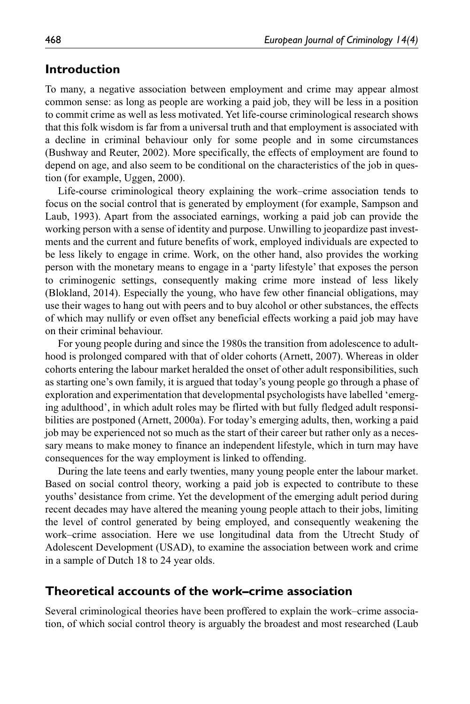### **Introduction**

To many, a negative association between employment and crime may appear almost common sense: as long as people are working a paid job, they will be less in a position to commit crime as well as less motivated. Yet life-course criminological research shows that this folk wisdom is far from a universal truth and that employment is associated with a decline in criminal behaviour only for some people and in some circumstances (Bushway and Reuter, 2002). More specifically, the effects of employment are found to depend on age, and also seem to be conditional on the characteristics of the job in question (for example, Uggen, 2000).

Life-course criminological theory explaining the work–crime association tends to focus on the social control that is generated by employment (for example, Sampson and Laub, 1993). Apart from the associated earnings, working a paid job can provide the working person with a sense of identity and purpose. Unwilling to jeopardize past investments and the current and future benefits of work, employed individuals are expected to be less likely to engage in crime. Work, on the other hand, also provides the working person with the monetary means to engage in a 'party lifestyle' that exposes the person to criminogenic settings, consequently making crime more instead of less likely (Blokland, 2014). Especially the young, who have few other financial obligations, may use their wages to hang out with peers and to buy alcohol or other substances, the effects of which may nullify or even offset any beneficial effects working a paid job may have on their criminal behaviour.

For young people during and since the 1980s the transition from adolescence to adulthood is prolonged compared with that of older cohorts (Arnett, 2007). Whereas in older cohorts entering the labour market heralded the onset of other adult responsibilities, such as starting one's own family, it is argued that today's young people go through a phase of exploration and experimentation that developmental psychologists have labelled 'emerging adulthood', in which adult roles may be flirted with but fully fledged adult responsibilities are postponed (Arnett, 2000a). For today's emerging adults, then, working a paid job may be experienced not so much as the start of their career but rather only as a necessary means to make money to finance an independent lifestyle, which in turn may have consequences for the way employment is linked to offending.

During the late teens and early twenties, many young people enter the labour market. Based on social control theory, working a paid job is expected to contribute to these youths' desistance from crime. Yet the development of the emerging adult period during recent decades may have altered the meaning young people attach to their jobs, limiting the level of control generated by being employed, and consequently weakening the work–crime association. Here we use longitudinal data from the Utrecht Study of Adolescent Development (USAD), to examine the association between work and crime in a sample of Dutch 18 to 24 year olds.

### **Theoretical accounts of the work–crime association**

Several criminological theories have been proffered to explain the work–crime association, of which social control theory is arguably the broadest and most researched (Laub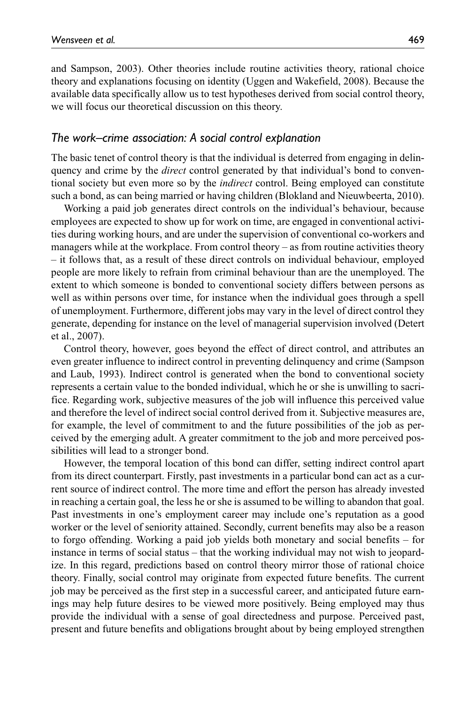and Sampson, 2003). Other theories include routine activities theory, rational choice theory and explanations focusing on identity (Uggen and Wakefield, 2008). Because the available data specifically allow us to test hypotheses derived from social control theory, we will focus our theoretical discussion on this theory.

#### *The work–crime association: A social control explanation*

The basic tenet of control theory is that the individual is deterred from engaging in delinquency and crime by the *direct* control generated by that individual's bond to conventional society but even more so by the *indirect* control. Being employed can constitute such a bond, as can being married or having children (Blokland and Nieuwbeerta, 2010).

Working a paid job generates direct controls on the individual's behaviour, because employees are expected to show up for work on time, are engaged in conventional activities during working hours, and are under the supervision of conventional co-workers and managers while at the workplace. From control theory – as from routine activities theory – it follows that, as a result of these direct controls on individual behaviour, employed people are more likely to refrain from criminal behaviour than are the unemployed. The extent to which someone is bonded to conventional society differs between persons as well as within persons over time, for instance when the individual goes through a spell of unemployment. Furthermore, different jobs may vary in the level of direct control they generate, depending for instance on the level of managerial supervision involved (Detert et al., 2007).

Control theory, however, goes beyond the effect of direct control, and attributes an even greater influence to indirect control in preventing delinquency and crime (Sampson and Laub, 1993). Indirect control is generated when the bond to conventional society represents a certain value to the bonded individual, which he or she is unwilling to sacrifice. Regarding work, subjective measures of the job will influence this perceived value and therefore the level of indirect social control derived from it. Subjective measures are, for example, the level of commitment to and the future possibilities of the job as perceived by the emerging adult. A greater commitment to the job and more perceived possibilities will lead to a stronger bond.

However, the temporal location of this bond can differ, setting indirect control apart from its direct counterpart. Firstly, past investments in a particular bond can act as a current source of indirect control. The more time and effort the person has already invested in reaching a certain goal, the less he or she is assumed to be willing to abandon that goal. Past investments in one's employment career may include one's reputation as a good worker or the level of seniority attained. Secondly, current benefits may also be a reason to forgo offending. Working a paid job yields both monetary and social benefits – for instance in terms of social status – that the working individual may not wish to jeopardize. In this regard, predictions based on control theory mirror those of rational choice theory. Finally, social control may originate from expected future benefits. The current job may be perceived as the first step in a successful career, and anticipated future earnings may help future desires to be viewed more positively. Being employed may thus provide the individual with a sense of goal directedness and purpose. Perceived past, present and future benefits and obligations brought about by being employed strengthen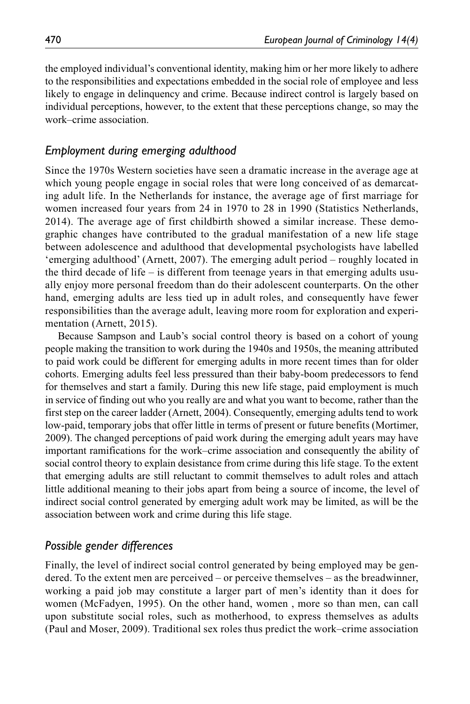the employed individual's conventional identity, making him or her more likely to adhere to the responsibilities and expectations embedded in the social role of employee and less likely to engage in delinquency and crime. Because indirect control is largely based on individual perceptions, however, to the extent that these perceptions change, so may the work–crime association.

### *Employment during emerging adulthood*

Since the 1970s Western societies have seen a dramatic increase in the average age at which young people engage in social roles that were long conceived of as demarcating adult life. In the Netherlands for instance, the average age of first marriage for women increased four years from 24 in 1970 to 28 in 1990 (Statistics Netherlands, 2014). The average age of first childbirth showed a similar increase. These demographic changes have contributed to the gradual manifestation of a new life stage between adolescence and adulthood that developmental psychologists have labelled 'emerging adulthood' (Arnett, 2007). The emerging adult period – roughly located in the third decade of life – is different from teenage years in that emerging adults usually enjoy more personal freedom than do their adolescent counterparts. On the other hand, emerging adults are less tied up in adult roles, and consequently have fewer responsibilities than the average adult, leaving more room for exploration and experimentation (Arnett, 2015).

Because Sampson and Laub's social control theory is based on a cohort of young people making the transition to work during the 1940s and 1950s, the meaning attributed to paid work could be different for emerging adults in more recent times than for older cohorts. Emerging adults feel less pressured than their baby-boom predecessors to fend for themselves and start a family. During this new life stage, paid employment is much in service of finding out who you really are and what you want to become, rather than the first step on the career ladder (Arnett, 2004). Consequently, emerging adults tend to work low-paid, temporary jobs that offer little in terms of present or future benefits (Mortimer, 2009). The changed perceptions of paid work during the emerging adult years may have important ramifications for the work–crime association and consequently the ability of social control theory to explain desistance from crime during this life stage. To the extent that emerging adults are still reluctant to commit themselves to adult roles and attach little additional meaning to their jobs apart from being a source of income, the level of indirect social control generated by emerging adult work may be limited, as will be the association between work and crime during this life stage.

### *Possible gender differences*

Finally, the level of indirect social control generated by being employed may be gendered. To the extent men are perceived – or perceive themselves – as the breadwinner, working a paid job may constitute a larger part of men's identity than it does for women (McFadyen, 1995). On the other hand, women , more so than men, can call upon substitute social roles, such as motherhood, to express themselves as adults (Paul and Moser, 2009). Traditional sex roles thus predict the work–crime association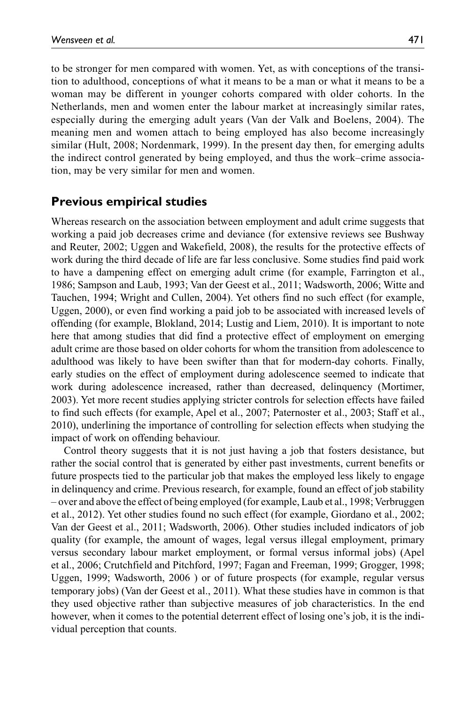to be stronger for men compared with women. Yet, as with conceptions of the transition to adulthood, conceptions of what it means to be a man or what it means to be a woman may be different in younger cohorts compared with older cohorts. In the Netherlands, men and women enter the labour market at increasingly similar rates, especially during the emerging adult years (Van der Valk and Boelens, 2004). The meaning men and women attach to being employed has also become increasingly similar (Hult, 2008; Nordenmark, 1999). In the present day then, for emerging adults the indirect control generated by being employed, and thus the work–crime association, may be very similar for men and women.

### **Previous empirical studies**

Whereas research on the association between employment and adult crime suggests that working a paid job decreases crime and deviance (for extensive reviews see Bushway and Reuter, 2002; Uggen and Wakefield, 2008), the results for the protective effects of work during the third decade of life are far less conclusive. Some studies find paid work to have a dampening effect on emerging adult crime (for example, Farrington et al., 1986; Sampson and Laub, 1993; Van der Geest et al., 2011; Wadsworth, 2006; Witte and Tauchen, 1994; Wright and Cullen, 2004). Yet others find no such effect (for example, Uggen, 2000), or even find working a paid job to be associated with increased levels of offending (for example, Blokland, 2014; Lustig and Liem, 2010). It is important to note here that among studies that did find a protective effect of employment on emerging adult crime are those based on older cohorts for whom the transition from adolescence to adulthood was likely to have been swifter than that for modern-day cohorts. Finally, early studies on the effect of employment during adolescence seemed to indicate that work during adolescence increased, rather than decreased, delinquency (Mortimer, 2003). Yet more recent studies applying stricter controls for selection effects have failed to find such effects (for example, Apel et al., 2007; Paternoster et al., 2003; Staff et al., 2010), underlining the importance of controlling for selection effects when studying the impact of work on offending behaviour.

Control theory suggests that it is not just having a job that fosters desistance, but rather the social control that is generated by either past investments, current benefits or future prospects tied to the particular job that makes the employed less likely to engage in delinquency and crime. Previous research, for example, found an effect of job stability – over and above the effect of being employed (for example, Laub et al., 1998; Verbruggen et al., 2012). Yet other studies found no such effect (for example, Giordano et al., 2002; Van der Geest et al., 2011; Wadsworth, 2006). Other studies included indicators of job quality (for example, the amount of wages, legal versus illegal employment, primary versus secondary labour market employment, or formal versus informal jobs) (Apel et al., 2006; Crutchfield and Pitchford, 1997; Fagan and Freeman, 1999; Grogger, 1998; Uggen, 1999; Wadsworth, 2006 ) or of future prospects (for example, regular versus temporary jobs) (Van der Geest et al., 2011). What these studies have in common is that they used objective rather than subjective measures of job characteristics. In the end however, when it comes to the potential deterrent effect of losing one's job, it is the individual perception that counts.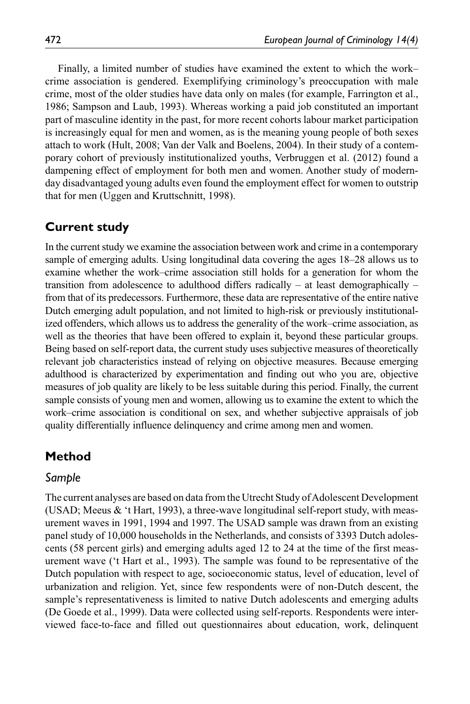Finally, a limited number of studies have examined the extent to which the work– crime association is gendered. Exemplifying criminology's preoccupation with male crime, most of the older studies have data only on males (for example, Farrington et al., 1986; Sampson and Laub, 1993). Whereas working a paid job constituted an important part of masculine identity in the past, for more recent cohorts labour market participation is increasingly equal for men and women, as is the meaning young people of both sexes attach to work (Hult, 2008; Van der Valk and Boelens, 2004). In their study of a contemporary cohort of previously institutionalized youths, Verbruggen et al. (2012) found a dampening effect of employment for both men and women. Another study of modernday disadvantaged young adults even found the employment effect for women to outstrip that for men (Uggen and Kruttschnitt, 1998).

### **Current study**

In the current study we examine the association between work and crime in a contemporary sample of emerging adults. Using longitudinal data covering the ages 18–28 allows us to examine whether the work–crime association still holds for a generation for whom the transition from adolescence to adulthood differs radically – at least demographically – from that of its predecessors. Furthermore, these data are representative of the entire native Dutch emerging adult population, and not limited to high-risk or previously institutionalized offenders, which allows us to address the generality of the work–crime association, as well as the theories that have been offered to explain it, beyond these particular groups. Being based on self-report data, the current study uses subjective measures of theoretically relevant job characteristics instead of relying on objective measures. Because emerging adulthood is characterized by experimentation and finding out who you are, objective measures of job quality are likely to be less suitable during this period. Finally, the current sample consists of young men and women, allowing us to examine the extent to which the work–crime association is conditional on sex, and whether subjective appraisals of job quality differentially influence delinquency and crime among men and women.

## **Method**

#### *Sample*

The current analyses are based on data from the Utrecht Study of Adolescent Development (USAD; Meeus & 't Hart, 1993), a three-wave longitudinal self-report study, with measurement waves in 1991, 1994 and 1997. The USAD sample was drawn from an existing panel study of 10,000 households in the Netherlands, and consists of 3393 Dutch adolescents (58 percent girls) and emerging adults aged 12 to 24 at the time of the first measurement wave ('t Hart et al., 1993). The sample was found to be representative of the Dutch population with respect to age, socioeconomic status, level of education, level of urbanization and religion. Yet, since few respondents were of non-Dutch descent, the sample's representativeness is limited to native Dutch adolescents and emerging adults (De Goede et al., 1999). Data were collected using self-reports. Respondents were interviewed face-to-face and filled out questionnaires about education, work, delinquent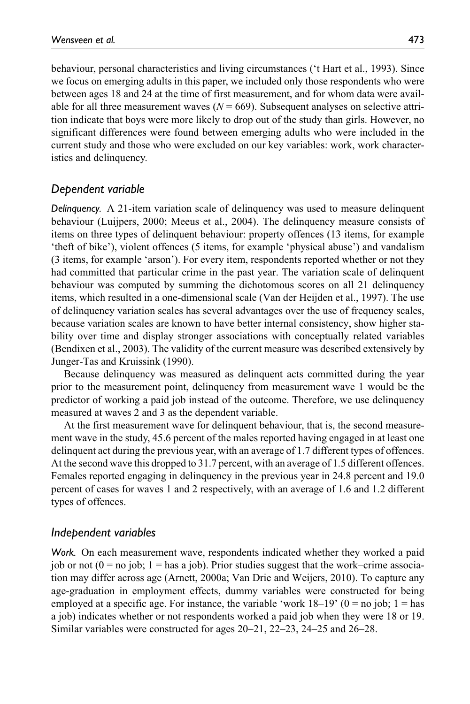behaviour, personal characteristics and living circumstances ('t Hart et al., 1993). Since we focus on emerging adults in this paper, we included only those respondents who were between ages 18 and 24 at the time of first measurement, and for whom data were available for all three measurement waves  $(N = 669)$ . Subsequent analyses on selective attrition indicate that boys were more likely to drop out of the study than girls. However, no significant differences were found between emerging adults who were included in the current study and those who were excluded on our key variables: work, work characteristics and delinquency.

### *Dependent variable*

*Delinquency.* A 21-item variation scale of delinquency was used to measure delinquent behaviour (Luijpers, 2000; Meeus et al., 2004). The delinquency measure consists of items on three types of delinquent behaviour: property offences (13 items, for example 'theft of bike'), violent offences (5 items, for example 'physical abuse') and vandalism (3 items, for example 'arson'). For every item, respondents reported whether or not they had committed that particular crime in the past year. The variation scale of delinquent behaviour was computed by summing the dichotomous scores on all 21 delinquency items, which resulted in a one-dimensional scale (Van der Heijden et al., 1997). The use of delinquency variation scales has several advantages over the use of frequency scales, because variation scales are known to have better internal consistency, show higher stability over time and display stronger associations with conceptually related variables (Bendixen et al., 2003). The validity of the current measure was described extensively by Junger-Tas and Kruissink (1990).

Because delinquency was measured as delinquent acts committed during the year prior to the measurement point, delinquency from measurement wave 1 would be the predictor of working a paid job instead of the outcome. Therefore, we use delinquency measured at waves 2 and 3 as the dependent variable.

At the first measurement wave for delinquent behaviour, that is, the second measurement wave in the study, 45.6 percent of the males reported having engaged in at least one delinquent act during the previous year, with an average of 1.7 different types of offences. At the second wave this dropped to 31.7 percent, with an average of 1.5 different offences. Females reported engaging in delinquency in the previous year in 24.8 percent and 19.0 percent of cases for waves 1 and 2 respectively, with an average of 1.6 and 1.2 different types of offences.

#### *Independent variables*

*Work.* On each measurement wave, respondents indicated whether they worked a paid job or not  $(0 = no$  job;  $1 = has a$  job). Prior studies suggest that the work–crime association may differ across age (Arnett, 2000a; Van Drie and Weijers, 2010). To capture any age-graduation in employment effects, dummy variables were constructed for being employed at a specific age. For instance, the variable 'work  $18-19$ '  $(0 = no job; 1 = has$ a job) indicates whether or not respondents worked a paid job when they were 18 or 19. Similar variables were constructed for ages 20–21, 22–23, 24–25 and 26–28.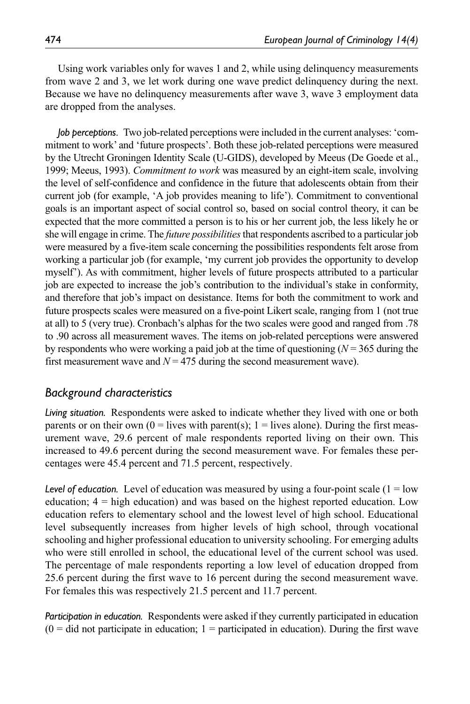Using work variables only for waves 1 and 2, while using delinquency measurements from wave 2 and 3, we let work during one wave predict delinquency during the next. Because we have no delinquency measurements after wave 3, wave 3 employment data are dropped from the analyses.

*Job perceptions*. Two job-related perceptions were included in the current analyses: 'commitment to work' and 'future prospects'. Both these job-related perceptions were measured by the Utrecht Groningen Identity Scale (U-GIDS), developed by Meeus (De Goede et al., 1999; Meeus, 1993). *Commitment to work* was measured by an eight-item scale, involving the level of self-confidence and confidence in the future that adolescents obtain from their current job (for example, 'A job provides meaning to life'). Commitment to conventional goals is an important aspect of social control so, based on social control theory, it can be expected that the more committed a person is to his or her current job, the less likely he or she will engage in crime. The *future possibilities* that respondents ascribed to a particular job were measured by a five-item scale concerning the possibilities respondents felt arose from working a particular job (for example, 'my current job provides the opportunity to develop myself'). As with commitment, higher levels of future prospects attributed to a particular job are expected to increase the job's contribution to the individual's stake in conformity, and therefore that job's impact on desistance. Items for both the commitment to work and future prospects scales were measured on a five-point Likert scale, ranging from 1 (not true at all) to 5 (very true). Cronbach's alphas for the two scales were good and ranged from .78 to .90 across all measurement waves. The items on job-related perceptions were answered by respondents who were working a paid job at the time of questioning  $(N = 365)$  during the first measurement wave and  $N = 475$  during the second measurement wave).

### *Background characteristics*

*Living situation.* Respondents were asked to indicate whether they lived with one or both parents or on their own  $(0 =$  lives with parent(s);  $1 =$  lives alone). During the first measurement wave, 29.6 percent of male respondents reported living on their own. This increased to 49.6 percent during the second measurement wave. For females these percentages were 45.4 percent and 71.5 percent, respectively.

Level of education. Level of education was measured by using a four-point scale  $(1 = low$ education; 4 = high education) and was based on the highest reported education. Low education refers to elementary school and the lowest level of high school. Educational level subsequently increases from higher levels of high school, through vocational schooling and higher professional education to university schooling. For emerging adults who were still enrolled in school, the educational level of the current school was used. The percentage of male respondents reporting a low level of education dropped from 25.6 percent during the first wave to 16 percent during the second measurement wave. For females this was respectively 21.5 percent and 11.7 percent.

*Participation in education.* Respondents were asked if they currently participated in education  $(0 = did not participate in education; 1 = participated in education). During the first wave$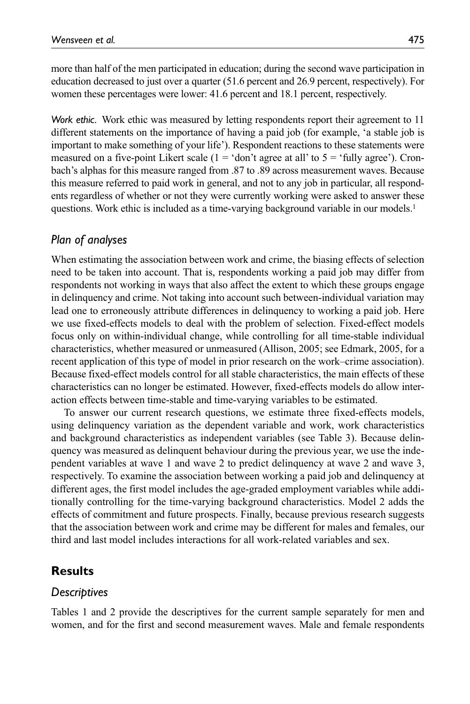more than half of the men participated in education; during the second wave participation in education decreased to just over a quarter (51.6 percent and 26.9 percent, respectively). For women these percentages were lower: 41.6 percent and 18.1 percent, respectively.

*Work ethic.* Work ethic was measured by letting respondents report their agreement to 11 different statements on the importance of having a paid job (for example, 'a stable job is important to make something of your life'). Respondent reactions to these statements were measured on a five-point Likert scale  $(1 = 'don't)$  agree at all' to  $5 = 'fully)$  agree'). Cronbach's alphas for this measure ranged from .87 to .89 across measurement waves. Because this measure referred to paid work in general, and not to any job in particular, all respondents regardless of whether or not they were currently working were asked to answer these questions. Work ethic is included as a time-varying background variable in our models.<sup>1</sup>

### *Plan of analyses*

When estimating the association between work and crime, the biasing effects of selection need to be taken into account. That is, respondents working a paid job may differ from respondents not working in ways that also affect the extent to which these groups engage in delinquency and crime. Not taking into account such between-individual variation may lead one to erroneously attribute differences in delinquency to working a paid job. Here we use fixed-effects models to deal with the problem of selection. Fixed-effect models focus only on within-individual change, while controlling for all time-stable individual characteristics, whether measured or unmeasured (Allison, 2005; see Edmark, 2005, for a recent application of this type of model in prior research on the work–crime association). Because fixed-effect models control for all stable characteristics, the main effects of these characteristics can no longer be estimated. However, fixed-effects models do allow interaction effects between time-stable and time-varying variables to be estimated.

To answer our current research questions, we estimate three fixed-effects models, using delinquency variation as the dependent variable and work, work characteristics and background characteristics as independent variables (see Table 3). Because delinquency was measured as delinquent behaviour during the previous year, we use the independent variables at wave 1 and wave 2 to predict delinquency at wave 2 and wave 3, respectively. To examine the association between working a paid job and delinquency at different ages, the first model includes the age-graded employment variables while additionally controlling for the time-varying background characteristics. Model 2 adds the effects of commitment and future prospects. Finally, because previous research suggests that the association between work and crime may be different for males and females, our third and last model includes interactions for all work-related variables and sex.

### **Results**

#### *Descriptives*

Tables 1 and 2 provide the descriptives for the current sample separately for men and women, and for the first and second measurement waves. Male and female respondents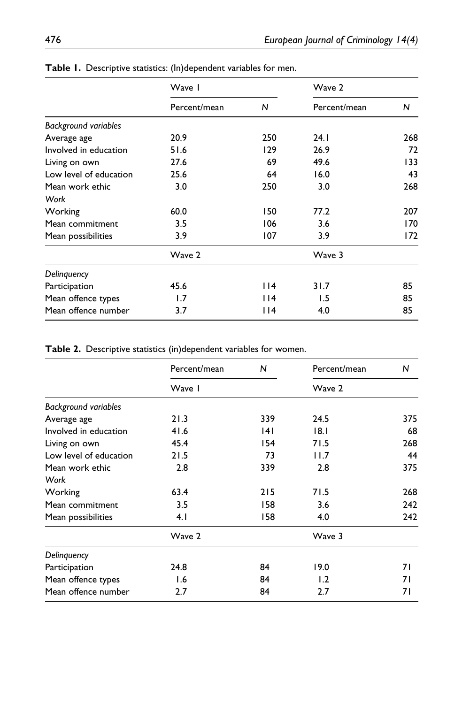|                             | Wave I       |      | Wave 2       |     |  |
|-----------------------------|--------------|------|--------------|-----|--|
|                             | Percent/mean | N    | Percent/mean | N   |  |
| <b>Background variables</b> |              |      |              |     |  |
| Average age                 | 20.9         | 250  | 24.1         | 268 |  |
| Involved in education       | 51.6         | 129  | 26.9         | 72  |  |
| Living on own               | 27.6         | 69   | 49.6         | 133 |  |
| Low level of education      | 25.6         | 64   | 16.0         |     |  |
| Mean work ethic             | 3.0          | 250  | 3.0          | 268 |  |
| Work                        |              |      |              |     |  |
| Working                     | 60.0         | 150  | 77.2         | 207 |  |
| Mean commitment             | 3.5          | 106  | 3.6          | 170 |  |
| Mean possibilities          | 3.9          | 107  | 3.9          | 172 |  |
|                             | Wave 2       |      | Wave 3       |     |  |
| Delinguency                 |              |      |              |     |  |
| Participation               | 45.6         | l 14 | 31.7         | 85  |  |
| Mean offence types          | 1.7          | 114  | 1.5          | 85  |  |
| Mean offence number         | 3.7          | l 14 | 4.0          | 85  |  |

**Table 1.** Descriptive statistics: (In)dependent variables for men.

**Table 2.** Descriptive statistics (in)dependent variables for women.

|                             | Percent/mean | N           | Percent/mean |     |  |
|-----------------------------|--------------|-------------|--------------|-----|--|
|                             | Wave I       |             | Wave 2       |     |  |
| <b>Background variables</b> |              |             |              |     |  |
| Average age                 | 21.3         | 339         | 24.5         | 375 |  |
| Involved in education       | 41.6         | 4           | 18.1         | 68  |  |
| Living on own               | 45.4         | 154<br>71.5 |              | 268 |  |
| Low level of education      | 21.5         | 73          | 11.7         | 44  |  |
| Mean work ethic             | 2.8          | 339         | 2.8          | 375 |  |
| Work                        |              |             |              |     |  |
| Working                     | 63.4         | 215         | 71.5         | 268 |  |
| Mean commitment             | 3.5          | 158         | 3.6          | 242 |  |
| Mean possibilities          | 4.1          | 158         | 4.0          | 242 |  |
|                             | Wave 2       |             | Wave 3       |     |  |
| Delinguency                 |              |             |              |     |  |
| Participation               | 24.8         | 84          | 19.0         | 71  |  |
| Mean offence types          | 1.6          | 84          | 1.2          | 71  |  |
| Mean offence number         | 2.7          | 84          | 2.7          | 71  |  |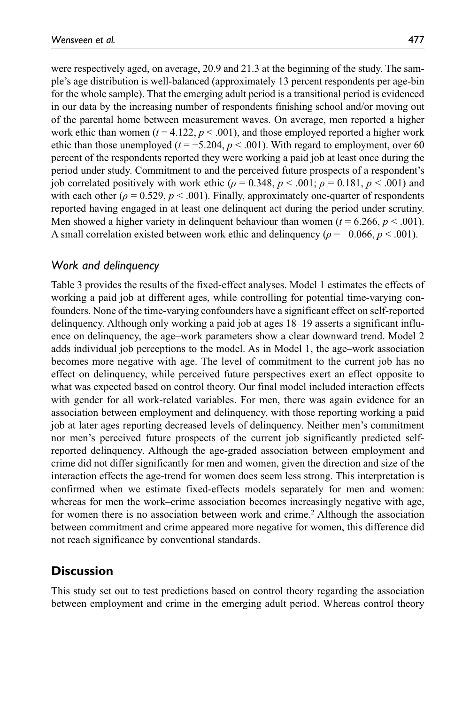were respectively aged, on average, 20.9 and 21.3 at the beginning of the study. The sample's age distribution is well-balanced (approximately 13 percent respondents per age-bin for the whole sample). That the emerging adult period is a transitional period is evidenced in our data by the increasing number of respondents finishing school and/or moving out of the parental home between measurement waves. On average, men reported a higher work ethic than women ( $t = 4.122$ ,  $p < .001$ ), and those employed reported a higher work ethic than those unemployed ( $t = -5.204$ ,  $p < .001$ ). With regard to employment, over 60 percent of the respondents reported they were working a paid job at least once during the period under study. Commitment to and the perceived future prospects of a respondent's job correlated positively with work ethic ( $\rho = 0.348$ ,  $p < .001$ ;  $\rho = 0.181$ ,  $p < .001$ ) and with each other ( $\rho = 0.529$ ,  $p < .001$ ). Finally, approximately one-quarter of respondents reported having engaged in at least one delinquent act during the period under scrutiny. Men showed a higher variety in delinquent behaviour than women  $(t = 6.266, p < .001)$ . A small correlation existed between work ethic and delinquency ( $\rho = -0.066$ ,  $p < .001$ ).

## *Work and delinquency*

Table 3 provides the results of the fixed-effect analyses. Model 1 estimates the effects of working a paid job at different ages, while controlling for potential time-varying confounders. None of the time-varying confounders have a significant effect on self-reported delinquency. Although only working a paid job at ages 18–19 asserts a significant influence on delinquency, the age–work parameters show a clear downward trend. Model 2 adds individual job perceptions to the model. As in Model 1, the age–work association becomes more negative with age. The level of commitment to the current job has no effect on delinquency, while perceived future perspectives exert an effect opposite to what was expected based on control theory. Our final model included interaction effects with gender for all work-related variables. For men, there was again evidence for an association between employment and delinquency, with those reporting working a paid job at later ages reporting decreased levels of delinquency. Neither men's commitment nor men's perceived future prospects of the current job significantly predicted selfreported delinquency. Although the age-graded association between employment and crime did not differ significantly for men and women, given the direction and size of the interaction effects the age-trend for women does seem less strong. This interpretation is confirmed when we estimate fixed-effects models separately for men and women: whereas for men the work–crime association becomes increasingly negative with age, for women there is no association between work and crime.2 Although the association between commitment and crime appeared more negative for women, this difference did not reach significance by conventional standards.

## **Discussion**

This study set out to test predictions based on control theory regarding the association between employment and crime in the emerging adult period. Whereas control theory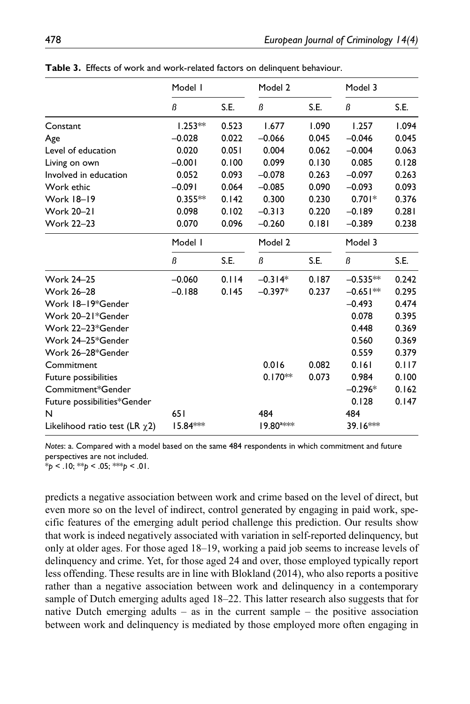|                                     | Model I   |       | Model 2               |       | Model 3    |       |
|-------------------------------------|-----------|-------|-----------------------|-------|------------|-------|
|                                     | ß         | S.E.  | ß                     | S.E.  | ß          | S.E.  |
| Constant                            | $1.253**$ | 0.523 | 1.677                 | 1.090 | 1.257      | 1.094 |
| Age                                 | $-0.028$  | 0.022 | $-0.066$              | 0.045 | $-0.046$   | 0.045 |
| Level of education                  | 0.020     | 0.051 | 0.004                 | 0.062 | $-0.004$   | 0.063 |
| Living on own                       | $-0.001$  | 0.100 | 0.099                 | 0.130 | 0.085      | 0.128 |
| Involved in education               | 0.052     | 0.093 | $-0.078$              | 0.263 | $-0.097$   | 0.263 |
| Work ethic                          | $-0.091$  | 0.064 | $-0.085$              | 0.090 | $-0.093$   | 0.093 |
| <b>Work 18-19</b>                   | $0.355**$ | 0.142 | 0.300                 | 0.230 | $0.701*$   | 0.376 |
| <b>Work 20-21</b>                   | 0.098     | 0.102 | $-0.313$              | 0.220 | $-0.189$   | 0.281 |
| <b>Work 22-23</b>                   | 0.070     | 0.096 | $-0.260$              | 0.181 | $-0.389$   | 0.238 |
|                                     | Model I   |       | Model 2               |       | Model 3    |       |
|                                     | ß         | S.E.  | ß                     | S.E.  | ß          | S.E.  |
| <b>Work 24-25</b>                   | $-0.060$  | 0.114 | $-0.314*$             | 0.187 | $-0.535**$ | 0.242 |
| <b>Work 26-28</b>                   | $-0.188$  | 0.145 | $-0.397*$             | 0.237 | $-0.651**$ | 0.295 |
| Work 18-19*Gender                   |           |       |                       |       | $-0.493$   | 0.474 |
| Work 20-21*Gender                   |           |       |                       |       | 0.078      | 0.395 |
| Work 22-23*Gender                   |           |       |                       |       | 0.448      | 0.369 |
| Work 24-25*Gender                   |           |       |                       |       | 0.560      | 0.369 |
| Work 26-28*Gender                   |           |       |                       |       | 0.559      | 0.379 |
| Commitment                          |           |       | 0.016                 | 0.082 | 0.161      | 0.117 |
| Future possibilities                |           |       | $0.170**$             | 0.073 | 0.984      | 0.100 |
| Commitment*Gender                   |           |       |                       |       | $-0.296*$  | 0.162 |
| Future possibilities*Gender         |           |       |                       |       | 0.128      | 0.147 |
| N                                   | 651       |       | 484                   |       | 484        |       |
| Likelihood ratio test (LR $\chi$ 2) | 15.84***  |       | 19.80 <sup>a***</sup> |       | 39.16***   |       |

**Table 3.** Effects of work and work-related factors on delinquent behaviour.

*Notes*: a. Compared with a model based on the same 484 respondents in which commitment and future perspectives are not included.

\**p* < .10; \*\**p* < .05; \*\*\**p* < .01.

predicts a negative association between work and crime based on the level of direct, but even more so on the level of indirect, control generated by engaging in paid work, specific features of the emerging adult period challenge this prediction. Our results show that work is indeed negatively associated with variation in self-reported delinquency, but only at older ages. For those aged 18–19, working a paid job seems to increase levels of delinquency and crime. Yet, for those aged 24 and over, those employed typically report less offending. These results are in line with Blokland (2014), who also reports a positive rather than a negative association between work and delinquency in a contemporary sample of Dutch emerging adults aged 18–22. This latter research also suggests that for native Dutch emerging adults – as in the current sample – the positive association between work and delinquency is mediated by those employed more often engaging in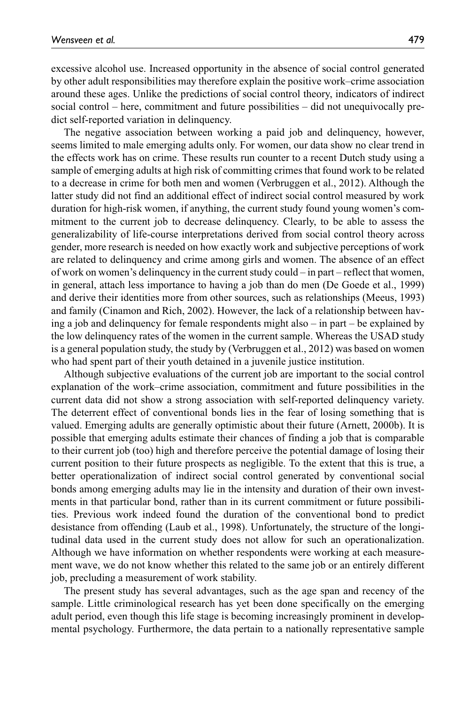excessive alcohol use. Increased opportunity in the absence of social control generated by other adult responsibilities may therefore explain the positive work–crime association around these ages. Unlike the predictions of social control theory, indicators of indirect social control – here, commitment and future possibilities – did not unequivocally predict self-reported variation in delinquency.

The negative association between working a paid job and delinquency, however, seems limited to male emerging adults only. For women, our data show no clear trend in the effects work has on crime. These results run counter to a recent Dutch study using a sample of emerging adults at high risk of committing crimes that found work to be related to a decrease in crime for both men and women (Verbruggen et al., 2012). Although the latter study did not find an additional effect of indirect social control measured by work duration for high-risk women, if anything, the current study found young women's commitment to the current job to decrease delinquency. Clearly, to be able to assess the generalizability of life-course interpretations derived from social control theory across gender, more research is needed on how exactly work and subjective perceptions of work are related to delinquency and crime among girls and women. The absence of an effect of work on women's delinquency in the current study could – in part – reflect that women, in general, attach less importance to having a job than do men (De Goede et al., 1999) and derive their identities more from other sources, such as relationships (Meeus, 1993) and family (Cinamon and Rich, 2002). However, the lack of a relationship between having a job and delinquency for female respondents might also – in part – be explained by the low delinquency rates of the women in the current sample. Whereas the USAD study is a general population study, the study by (Verbruggen et al., 2012) was based on women who had spent part of their youth detained in a juvenile justice institution.

Although subjective evaluations of the current job are important to the social control explanation of the work–crime association, commitment and future possibilities in the current data did not show a strong association with self-reported delinquency variety. The deterrent effect of conventional bonds lies in the fear of losing something that is valued. Emerging adults are generally optimistic about their future (Arnett, 2000b). It is possible that emerging adults estimate their chances of finding a job that is comparable to their current job (too) high and therefore perceive the potential damage of losing their current position to their future prospects as negligible. To the extent that this is true, a better operationalization of indirect social control generated by conventional social bonds among emerging adults may lie in the intensity and duration of their own investments in that particular bond, rather than in its current commitment or future possibilities. Previous work indeed found the duration of the conventional bond to predict desistance from offending (Laub et al., 1998). Unfortunately, the structure of the longitudinal data used in the current study does not allow for such an operationalization. Although we have information on whether respondents were working at each measurement wave, we do not know whether this related to the same job or an entirely different job, precluding a measurement of work stability.

The present study has several advantages, such as the age span and recency of the sample. Little criminological research has yet been done specifically on the emerging adult period, even though this life stage is becoming increasingly prominent in developmental psychology. Furthermore, the data pertain to a nationally representative sample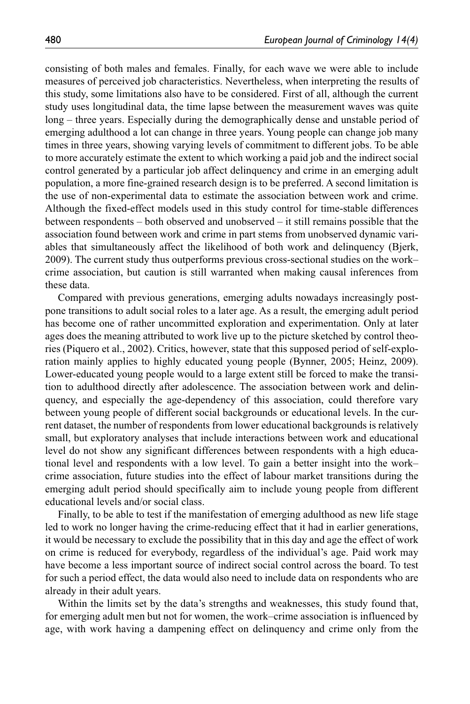consisting of both males and females. Finally, for each wave we were able to include measures of perceived job characteristics. Nevertheless, when interpreting the results of this study, some limitations also have to be considered. First of all, although the current study uses longitudinal data, the time lapse between the measurement waves was quite long – three years. Especially during the demographically dense and unstable period of emerging adulthood a lot can change in three years. Young people can change job many times in three years, showing varying levels of commitment to different jobs. To be able to more accurately estimate the extent to which working a paid job and the indirect social control generated by a particular job affect delinquency and crime in an emerging adult population, a more fine-grained research design is to be preferred. A second limitation is the use of non-experimental data to estimate the association between work and crime. Although the fixed-effect models used in this study control for time-stable differences between respondents – both observed and unobserved – it still remains possible that the association found between work and crime in part stems from unobserved dynamic variables that simultaneously affect the likelihood of both work and delinquency (Bjerk, 2009). The current study thus outperforms previous cross-sectional studies on the work– crime association, but caution is still warranted when making causal inferences from these data.

Compared with previous generations, emerging adults nowadays increasingly postpone transitions to adult social roles to a later age. As a result, the emerging adult period has become one of rather uncommitted exploration and experimentation. Only at later ages does the meaning attributed to work live up to the picture sketched by control theories (Piquero et al., 2002). Critics, however, state that this supposed period of self-exploration mainly applies to highly educated young people (Bynner, 2005; Heinz, 2009). Lower-educated young people would to a large extent still be forced to make the transition to adulthood directly after adolescence. The association between work and delinquency, and especially the age-dependency of this association, could therefore vary between young people of different social backgrounds or educational levels. In the current dataset, the number of respondents from lower educational backgrounds is relatively small, but exploratory analyses that include interactions between work and educational level do not show any significant differences between respondents with a high educational level and respondents with a low level. To gain a better insight into the work– crime association, future studies into the effect of labour market transitions during the emerging adult period should specifically aim to include young people from different educational levels and/or social class.

Finally, to be able to test if the manifestation of emerging adulthood as new life stage led to work no longer having the crime-reducing effect that it had in earlier generations, it would be necessary to exclude the possibility that in this day and age the effect of work on crime is reduced for everybody, regardless of the individual's age. Paid work may have become a less important source of indirect social control across the board. To test for such a period effect, the data would also need to include data on respondents who are already in their adult years.

Within the limits set by the data's strengths and weaknesses, this study found that, for emerging adult men but not for women, the work–crime association is influenced by age, with work having a dampening effect on delinquency and crime only from the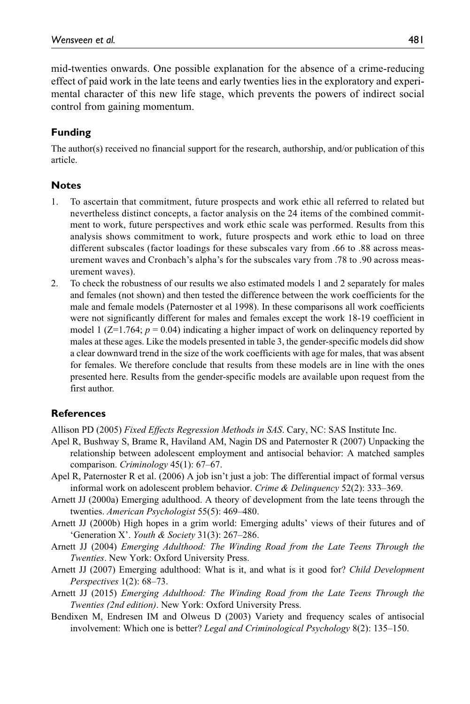mid-twenties onwards. One possible explanation for the absence of a crime-reducing effect of paid work in the late teens and early twenties lies in the exploratory and experimental character of this new life stage, which prevents the powers of indirect social control from gaining momentum.

### **Funding**

The author(s) received no financial support for the research, authorship, and/or publication of this article.

#### **Notes**

- 1. To ascertain that commitment, future prospects and work ethic all referred to related but nevertheless distinct concepts, a factor analysis on the 24 items of the combined commitment to work, future perspectives and work ethic scale was performed. Results from this analysis shows commitment to work, future prospects and work ethic to load on three different subscales (factor loadings for these subscales vary from .66 to .88 across measurement waves and Cronbach's alpha's for the subscales vary from .78 to .90 across measurement waves).
- 2. To check the robustness of our results we also estimated models 1 and 2 separately for males and females (not shown) and then tested the difference between the work coefficients for the male and female models (Paternoster et al 1998). In these comparisons all work coefficients were not significantly different for males and females except the work 18-19 coefficient in model 1  $(Z=1.764; p=0.04)$  indicating a higher impact of work on delinguency reported by males at these ages. Like the models presented in table 3, the gender-specific models did show a clear downward trend in the size of the work coefficients with age for males, that was absent for females. We therefore conclude that results from these models are in line with the ones presented here. Results from the gender-specific models are available upon request from the first author.

#### **References**

Allison PD (2005) *Fixed Effects Regression Methods in SAS*. Cary, NC: SAS Institute Inc.

- Apel R, Bushway S, Brame R, Haviland AM, Nagin DS and Paternoster R (2007) Unpacking the relationship between adolescent employment and antisocial behavior: A matched samples comparison. *Criminology* 45(1): 67–67.
- Apel R, Paternoster R et al. (2006) A job isn't just a job: The differential impact of formal versus informal work on adolescent problem behavior. *Crime & Delinquency* 52(2): 333–369.
- Arnett JJ (2000a) Emerging adulthood. A theory of development from the late teens through the twenties. *American Psychologist* 55(5): 469–480.
- Arnett JJ (2000b) High hopes in a grim world: Emerging adults' views of their futures and of 'Generation X'. *Youth & Society* 31(3): 267–286.
- Arnett JJ (2004) *Emerging Adulthood: The Winding Road from the Late Teens Through the Twenties*. New York: Oxford University Press.
- Arnett JJ (2007) Emerging adulthood: What is it, and what is it good for? *Child Development Perspectives* 1(2): 68–73.
- Arnett JJ (2015) *Emerging Adulthood: The Winding Road from the Late Teens Through the Twenties (2nd edition)*. New York: Oxford University Press.
- Bendixen M, Endresen IM and Olweus D (2003) Variety and frequency scales of antisocial involvement: Which one is better? *Legal and Criminological Psychology* 8(2): 135–150.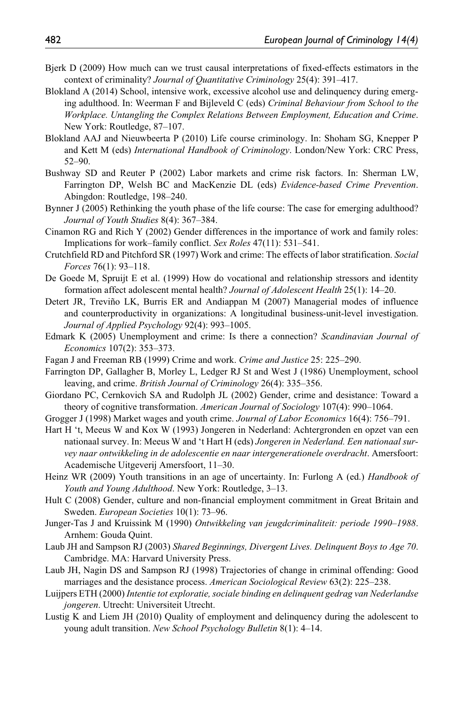- Bjerk D (2009) How much can we trust causal interpretations of fixed-effects estimators in the context of criminality? *Journal of Quantitative Criminology* 25(4): 391–417.
- Blokland A (2014) School, intensive work, excessive alcohol use and delinquency during emerging adulthood. In: Weerman F and Bijleveld C (eds) *Criminal Behaviour from School to the Workplace. Untangling the Complex Relations Between Employment, Education and Crime*. New York: Routledge, 87–107.
- Blokland AAJ and Nieuwbeerta P (2010) Life course criminology. In: Shoham SG, Knepper P and Kett M (eds) *International Handbook of Criminology*. London/New York: CRC Press, 52–90.
- Bushway SD and Reuter P (2002) Labor markets and crime risk factors. In: Sherman LW, Farrington DP, Welsh BC and MacKenzie DL (eds) *Evidence-based Crime Prevention*. Abingdon: Routledge, 198–240.
- Bynner J (2005) Rethinking the youth phase of the life course: The case for emerging adulthood? *Journal of Youth Studies* 8(4): 367–384.
- Cinamon RG and Rich Y (2002) Gender differences in the importance of work and family roles: Implications for work–family conflict. *Sex Roles* 47(11): 531–541.
- Crutchfield RD and Pitchford SR (1997) Work and crime: The effects of labor stratification. *Social Forces* 76(1): 93–118.
- De Goede M, Spruijt E et al. (1999) How do vocational and relationship stressors and identity formation affect adolescent mental health? *Journal of Adolescent Health* 25(1): 14–20.
- Detert JR, Treviño LK, Burris ER and Andiappan M (2007) Managerial modes of influence and counterproductivity in organizations: A longitudinal business-unit-level investigation. *Journal of Applied Psychology* 92(4): 993–1005.
- Edmark K (2005) Unemployment and crime: Is there a connection? *Scandinavian Journal of Economics* 107(2): 353–373.
- Fagan J and Freeman RB (1999) Crime and work. *Crime and Justice* 25: 225–290.
- Farrington DP, Gallagher B, Morley L, Ledger RJ St and West J (1986) Unemployment, school leaving, and crime. *British Journal of Criminology* 26(4): 335–356.
- Giordano PC, Cernkovich SA and Rudolph JL (2002) Gender, crime and desistance: Toward a theory of cognitive transformation. *American Journal of Sociology* 107(4): 990–1064.
- Grogger J (1998) Market wages and youth crime. *Journal of Labor Economics* 16(4): 756–791.
- Hart H 't, Meeus W and Kox W (1993) Jongeren in Nederland: Achtergronden en opzet van een nationaal survey. In: Meeus W and 't Hart H (eds) *Jongeren in Nederland. Een nationaal survey naar ontwikkeling in de adolescentie en naar intergenerationele overdracht*. Amersfoort: Academische Uitgeverij Amersfoort, 11–30.
- Heinz WR (2009) Youth transitions in an age of uncertainty. In: Furlong A (ed.) *Handbook of Youth and Young Adulthood*. New York: Routledge, 3–13.
- Hult C (2008) Gender, culture and non-financial employment commitment in Great Britain and Sweden. *European Societies* 10(1): 73–96.
- Junger-Tas J and Kruissink M (1990) *Ontwikkeling van jeugdcriminaliteit: periode 1990–1988*. Arnhem: Gouda Quint.
- Laub JH and Sampson RJ (2003) *Shared Beginnings, Divergent Lives. Delinquent Boys to Age 70*. Cambridge. MA: Harvard University Press.
- Laub JH, Nagin DS and Sampson RJ (1998) Trajectories of change in criminal offending: Good marriages and the desistance process. *American Sociological Review* 63(2): 225–238.
- Luijpers ETH (2000) *Intentie tot exploratie, sociale binding en delinquent gedrag van Nederlandse jongeren*. Utrecht: Universiteit Utrecht.
- Lustig K and Liem JH (2010) Quality of employment and delinquency during the adolescent to young adult transition. *New School Psychology Bulletin* 8(1): 4–14.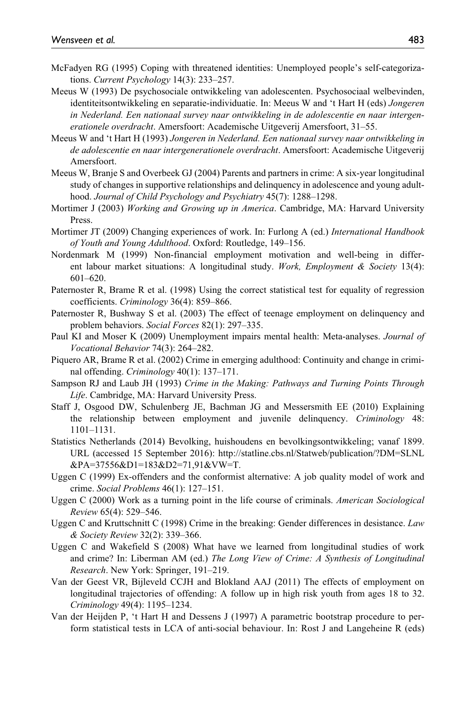- McFadyen RG (1995) Coping with threatened identities: Unemployed people's self-categorizations. *Current Psychology* 14(3): 233–257.
- Meeus W (1993) De psychosociale ontwikkeling van adolescenten. Psychosociaal welbevinden, identiteitsontwikkeling en separatie-individuatie. In: Meeus W and 't Hart H (eds) *Jongeren in Nederland. Een nationaal survey naar ontwikkeling in de adolescentie en naar intergenerationele overdracht*. Amersfoort: Academische Uitgeverij Amersfoort, 31–55.
- Meeus W and 't Hart H (1993) *Jongeren in Nederland. Een nationaal survey naar ontwikkeling in de adolescentie en naar intergenerationele overdracht*. Amersfoort: Academische Uitgeverij Amersfoort.
- Meeus W, Branje S and Overbeek GJ (2004) Parents and partners in crime: A six-year longitudinal study of changes in supportive relationships and delinquency in adolescence and young adulthood. *Journal of Child Psychology and Psychiatry* 45(7): 1288–1298.
- Mortimer J (2003) *Working and Growing up in America*. Cambridge, MA: Harvard University Press.
- Mortimer JT (2009) Changing experiences of work. In: Furlong A (ed.) *International Handbook of Youth and Young Adulthood*. Oxford: Routledge, 149–156.
- Nordenmark M (1999) Non-financial employment motivation and well-being in different labour market situations: A longitudinal study. *Work, Employment & Society* 13(4): 601–620.
- Paternoster R, Brame R et al. (1998) Using the correct statistical test for equality of regression coefficients. *Criminology* 36(4): 859–866.
- Paternoster R, Bushway S et al. (2003) The effect of teenage employment on delinquency and problem behaviors. *Social Forces* 82(1): 297–335.
- Paul KI and Moser K (2009) Unemployment impairs mental health: Meta-analyses. *Journal of Vocational Behavior* 74(3): 264–282.
- Piquero AR, Brame R et al. (2002) Crime in emerging adulthood: Continuity and change in criminal offending. *Criminology* 40(1): 137–171.
- Sampson RJ and Laub JH (1993) *Crime in the Making: Pathways and Turning Points Through Life*. Cambridge, MA: Harvard University Press.
- Staff J, Osgood DW, Schulenberg JE, Bachman JG and Messersmith EE (2010) Explaining the relationship between employment and juvenile delinquency. *Criminology* 48: 1101–1131.
- Statistics Netherlands (2014) Bevolking, huishoudens en bevolkingsontwikkeling; vanaf 1899. URL (accessed 15 September 2016): [http://statline.cbs.nl/Statweb/publication/?DM=SLNL](http://statline.cbs.nl/Statweb/publication/?DM=SLNL&PA=37556&D1=183&D2=71,91&VW=T) [&PA=37556&D1=183&D2=71,91&VW=T.](http://statline.cbs.nl/Statweb/publication/?DM=SLNL&PA=37556&D1=183&D2=71,91&VW=T)
- Uggen C (1999) Ex-offenders and the conformist alternative: A job quality model of work and crime. *Social Problems* 46(1): 127–151.
- Uggen C (2000) Work as a turning point in the life course of criminals. *American Sociological Review* 65(4): 529–546.
- Uggen C and Kruttschnitt C (1998) Crime in the breaking: Gender differences in desistance. *Law & Society Review* 32(2): 339–366.
- Uggen C and Wakefield S (2008) What have we learned from longitudinal studies of work and crime? In: Liberman AM (ed.) *The Long View of Crime: A Synthesis of Longitudinal Research*. New York: Springer, 191–219.
- Van der Geest VR, Bijleveld CCJH and Blokland AAJ (2011) The effects of employment on longitudinal trajectories of offending: A follow up in high risk youth from ages 18 to 32. *Criminology* 49(4): 1195–1234.
- Van der Heijden P, 't Hart H and Dessens J (1997) A parametric bootstrap procedure to perform statistical tests in LCA of anti-social behaviour. In: Rost J and Langeheine R (eds)